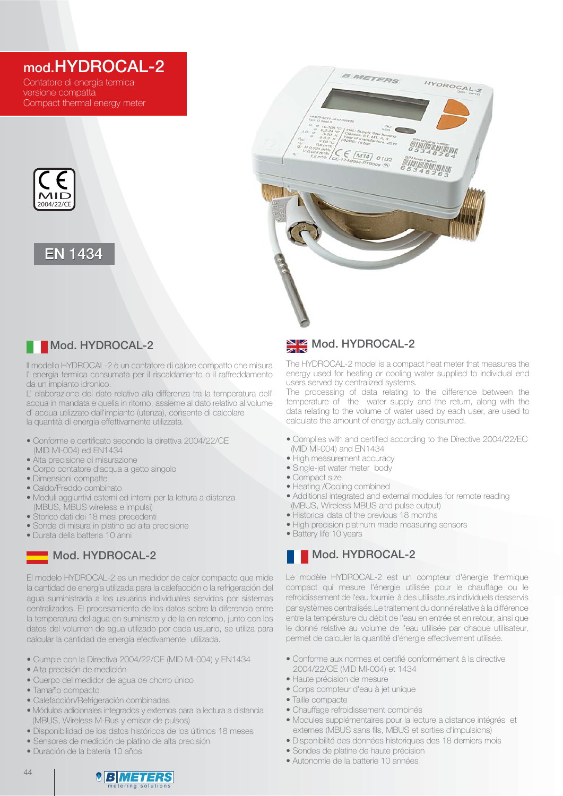# mod.HYDROCAL-2

Contatore di energia termica versione compatta Compact thermal energy meter







### Mod. HYDROCAL-2

Il modello HYDROCAL-2 è un contatore di calore compatto che misura l' energia termica consumata per il riscaldamento o il raffreddamento da un impianto idronico.

L' elaborazione del dato relativo alla differenza tra la temperatura dell' acqua in mandata e quella in ritorno, assieme al dato relativo al volume d' acqua utilizzato dall'impianto (utenza), consente di calcolare la quantità di energia effettivamente utilizzata.

- Conforme e certificato secondo la direttiva 2004/22/CE (MID MI-004) ed EN1434
- Alta precisione di misurazione
- Corpo contatore d'acqua a getto singolo
- Dimensioni compatte
- Caldo/Freddo combinato
- · Moduli aggiuntivi esterni ed interni per la lettura a distanza (MBUS, MBUS wireless e impulsi)
- Storico dati dei 18 mesi precedenti
- Sonde di misura in platino ad alta precisione
- Durata della batteria 10 anni

## Mod. HYDROCAL-2

El modelo HYDROCAL-2 es un medidor de calor compacto que mide la cantidad de energía utilizada para la calefacción o la refrigeración del agua suministrada a los usuarios individuales servidos por sistemas centralizados. El procesamiento de los datos sobre la diferencia entre la temperatura del agua en suministro y de la en retorno, junto con los datos del volumen de agua utilizado por cada usuario, se utiliza para calcular la cantidad de energía efectivamente utilizada.

- Cumple con la Directiva 2004/22/CE (MID MI-004) y EN1434
- Alta precisión de medición
- · Cuerpo del medidor de agua de chorro único
- Tamaño compacto
- Calefacción/Refrigeración combinadas
- · Módulos adicionales integrados y externos para la lectura a distancia (MBUS, Wireless M-Bus y emisor de pulsos)
- · Disponibilidad de los datos históricos de los últimos 18 meses
- · Sensores de medición de platino de alta precisión
- · Duración de la batería 10 años

# Mod. HYDROCAL-2

The HYDROCAL-2 model is a compact heat meter that measures the energy used for heating or cooling water supplied to individual end users served by centralized systems.

The processing of data relating to the difference between the temperature of the water supply and the return, along with the data relating to the volume of water used by each user, are used to calculate the amount of energy actually consumed.

- Complies with and certified according to the Directive 2004/22/EC (MID MI-004) and EN1434
- High measurement accuracy
- Single-jet water meter body
- Compact size
- Heating /Cooling combined
- Additional integrated and external modules for remote reading (MBUS, Wireless MBUS and pulse output)
- Historical data of the previous 18 months
- High precision platinum made measuring sensors
- Battery life 10 years

## Mod. HYDROCAL-2

Le modèle HYDROCAL-2 est un compteur d'énergie thermique compact qui mesure l'énergie utilisée pour le chauffage ou le refroidissement de l'eau fournie à des utilisateurs individuels desservis par systèmes centralisés.Le traitement du donné relative à la différence entre la température du débit de l'eau en entrée et en retour, ainsi que le donné relative au volume de l'eau utilisée par chaque utilisateur, permet de calculer la quantité d'énergie effectivement utilisée.

- Conforme aux normes et certifié conformément à la directive 2004/22/CE (MID MI-004) et 1434
- · Haute précision de mesure
- Corps compteur d'eau à jet unique
- Taille compacte
- Chauffage refroidissement combinés
- · Modules supplémentaires pour la lecture a distance intégrés et externes (MBUS sans fils, MBUS et sorties d'impulsions)
- · Disponibilité des données historiques des 18 derniers mois
- Sondes de platine de haute précision
- · Autonomie de la batterie 10 années